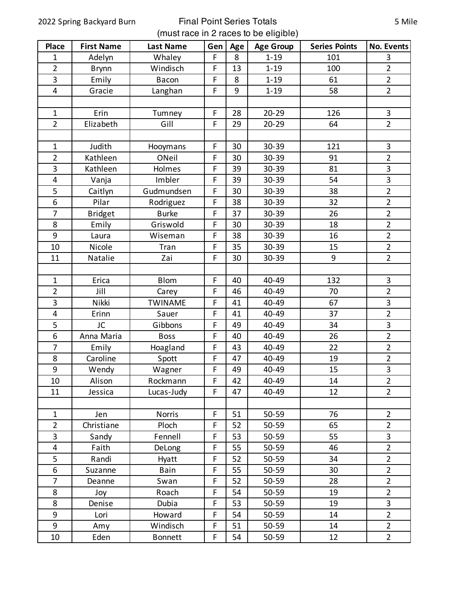## 2022 Spring Backyard Burn Final Point Series Totals (must race in 2 races to be eligible)

| <b>Place</b>            | <b>First Name</b> | <b>Last Name</b> | Gen         | Age | <b>Age Group</b> | <b>Series Points</b> | <b>No. Events</b> |
|-------------------------|-------------------|------------------|-------------|-----|------------------|----------------------|-------------------|
| $\mathbf{1}$            | Adelyn            | Whaley           | F           | 8   | $1 - 19$         | 101                  | 3                 |
| $\overline{2}$          | <b>Brynn</b>      | Windisch         | $\mathsf F$ | 13  | $1 - 19$         | 100                  | $\overline{2}$    |
| 3                       | Emily             | Bacon            | F           | 8   | $1 - 19$         | 61                   | $\overline{2}$    |
| $\overline{4}$          | Gracie            | Langhan          | $\mathsf F$ | 9   | $1 - 19$         | 58                   | $\overline{2}$    |
|                         |                   |                  |             |     |                  |                      |                   |
| $\mathbf{1}$            | Erin              | Tumney           | $\mathsf F$ | 28  | $20 - 29$        | 126                  | $\mathbf{3}$      |
| $\overline{2}$          | Elizabeth         | Gill             | F           | 29  | $20 - 29$        | 64                   | $\overline{2}$    |
|                         |                   |                  |             |     |                  |                      |                   |
| $\mathbf{1}$            | Judith            | Hooymans         | $\mathsf F$ | 30  | 30-39            | 121                  | 3                 |
| $\overline{2}$          | Kathleen          | ONeil            | F           | 30  | 30-39            | 91                   | $\overline{2}$    |
| 3                       | Kathleen          | Holmes           | $\mathsf F$ | 39  | 30-39            | 81                   | 3                 |
| $\overline{\mathbf{4}}$ | Vanja             | Imbler           | F           | 39  | 30-39            | 54                   | 3                 |
| 5                       | Caitlyn           | Gudmundsen       | F           | 30  | 30-39            | 38                   | $\overline{2}$    |
| $\boldsymbol{6}$        | Pilar             | Rodriguez        | F           | 38  | 30-39            | 32                   | $\overline{2}$    |
| $\overline{7}$          | <b>Bridget</b>    | <b>Burke</b>     | $\mathsf F$ | 37  | 30-39            | 26                   | $\overline{2}$    |
| 8                       | Emily             | Griswold         | F           | 30  | 30-39            | 18                   | $\overline{2}$    |
| 9                       | Laura             | Wiseman          | F           | 38  | 30-39            | 16                   | $\overline{2}$    |
| 10                      | Nicole            | Tran             | F           | 35  | 30-39            | 15                   | $\overline{2}$    |
| 11                      | Natalie           | Zai              | F           | 30  | 30-39            | 9                    | $\overline{2}$    |
|                         |                   |                  |             |     |                  |                      |                   |
| $\mathbf{1}$            | Erica             | <b>Blom</b>      | F           | 40  | 40-49            | 132                  | 3                 |
| $\overline{2}$          | Jill              | Carey            | $\mathsf F$ | 46  | 40-49            | 70                   | $\overline{2}$    |
| 3                       | Nikki             | <b>TWINAME</b>   | F           | 41  | 40-49            | 67                   | 3                 |
| $\overline{\mathbf{4}}$ | Erinn             | Sauer            | $\mathsf F$ | 41  | 40-49            | 37                   | $\overline{2}$    |
| 5                       | JC                | Gibbons          | F           | 49  | 40-49            | 34                   | 3                 |
| 6                       | Anna Maria        | <b>Boss</b>      | $\mathsf F$ | 40  | 40-49            | 26                   | $\overline{2}$    |
| 7                       | Emily             | Hoagland         | $\mathsf F$ | 43  | 40-49            | 22                   | $\overline{2}$    |
| $\bf 8$                 | Caroline          | Spott            | $\mathsf F$ | 47  | 40-49            | 19                   | $\overline{2}$    |
| 9                       | Wendy             | Wagner           | F           | 49  | 40-49            | 15                   | 3                 |
| 10                      | Alison            | Rockmann         | F           | 42  | 40-49            | 14                   | $\overline{2}$    |
| 11                      | Jessica           | Lucas-Judy       | F           | 47  | 40-49            | 12                   | $\overline{2}$    |
|                         |                   |                  |             |     |                  |                      |                   |
| $\mathbf{1}$            | Jen               | <b>Norris</b>    | F           | 51  | $50 - 59$        | 76                   | $\overline{2}$    |
| $\overline{2}$          | Christiane        | Ploch            | $\mathsf F$ | 52  | 50-59            | 65                   | $\overline{2}$    |
| 3                       | Sandy             | Fennell          | $\mathsf F$ | 53  | 50-59            | 55                   | 3                 |
| 4                       | Faith             | DeLong           | $\mathsf F$ | 55  | 50-59            | 46                   | $\overline{2}$    |
| 5                       | Randi             | Hyatt            | $\mathsf F$ | 52  | 50-59            | 34                   | $\overline{2}$    |
| 6                       | Suzanne           | Bain             | $\mathsf F$ | 55  | 50-59            | 30                   | $\overline{2}$    |
| $\overline{7}$          | Deanne            | Swan             | $\mathsf F$ | 52  | 50-59            | 28                   | $\overline{2}$    |
| 8                       | Joy               | Roach            | F           | 54  | 50-59            | 19                   | $\overline{2}$    |
| 8                       | Denise            | Dubia            | $\mathsf F$ | 53  | 50-59            | 19                   | 3                 |
| 9                       | Lori              | Howard           | F           | 54  | 50-59            | 14                   | $\overline{2}$    |
| 9                       | Amy               | Windisch         | $\mathsf F$ | 51  | 50-59            | 14                   | $\overline{2}$    |
| 10                      | Eden              | <b>Bonnett</b>   | F           | 54  | 50-59            | 12                   | $\overline{2}$    |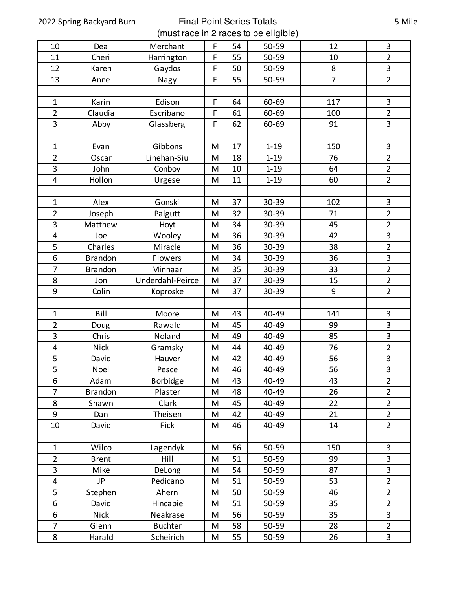2022 Spring Backyard Burn Final Point Series Totals (must race in 2 races to be eligible)

| 10                      | Dea            | Merchant         | F | 54 | 50-59    | 12             | 3                       |
|-------------------------|----------------|------------------|---|----|----------|----------------|-------------------------|
| 11                      | Cheri          | Harrington       | F | 55 | 50-59    | 10             | $\overline{2}$          |
| 12                      | Karen          | Gaydos           | F | 50 | 50-59    | 8              | 3                       |
| 13                      | Anne           | Nagy             | F | 55 | 50-59    | $\overline{7}$ | $\overline{2}$          |
|                         |                |                  |   |    |          |                |                         |
| $\mathbf{1}$            | Karin          | Edison           | F | 64 | 60-69    | 117            | $\mathbf{3}$            |
| $\overline{2}$          | Claudia        | Escribano        | F | 61 | 60-69    | 100            | $\overline{2}$          |
| 3                       | Abby           | Glassberg        | F | 62 | 60-69    | 91             | 3                       |
|                         |                |                  |   |    |          |                |                         |
| $\mathbf{1}$            | Evan           | Gibbons          | M | 17 | $1 - 19$ | 150            | $\overline{\mathbf{3}}$ |
| $\overline{2}$          | Oscar          | Linehan-Siu      | M | 18 | $1 - 19$ | 76             | $\overline{2}$          |
| 3                       | John           | Conboy           | M | 10 | $1 - 19$ | 64             | $\overline{2}$          |
| $\overline{\mathbf{4}}$ | Hollon         | Urgese           | M | 11 | $1 - 19$ | 60             | $\overline{2}$          |
|                         |                |                  |   |    |          |                |                         |
| $\mathbf{1}$            | Alex           | Gonski           | M | 37 | 30-39    | 102            | $\mathbf{3}$            |
| $\overline{2}$          | Joseph         | Palgutt          | M | 32 | 30-39    | 71             | $\overline{2}$          |
| 3                       | Matthew        | Hoyt             | M | 34 | 30-39    | 45             | $\overline{2}$          |
| 4                       | Joe            | Wooley           | M | 36 | 30-39    | 42             | $\overline{\mathbf{3}}$ |
| 5                       | Charles        | Miracle          | M | 36 | 30-39    | 38             | $\overline{2}$          |
| 6                       | <b>Brandon</b> | Flowers          | M | 34 | 30-39    | 36             | 3                       |
| 7                       | <b>Brandon</b> | Minnaar          | M | 35 | 30-39    | 33             | $\overline{2}$          |
| 8                       | Jon            | Underdahl-Peirce | M | 37 | 30-39    | 15             | $\overline{2}$          |
| 9                       | Colin          | Koproske         | M | 37 | 30-39    | 9              | $\overline{2}$          |
|                         |                |                  |   |    |          |                |                         |
| $\mathbf{1}$            | Bill           | Moore            | M | 43 | 40-49    | 141            | $\mathbf{3}$            |
| $\overline{2}$          | Doug           | Rawald           | M | 45 | 40-49    | 99             | $\overline{\mathbf{3}}$ |
| 3                       | Chris          | Noland           | M | 49 | 40-49    | 85             | 3                       |
| 4                       | <b>Nick</b>    | Gramsky          | M | 44 | 40-49    | 76             | $\overline{2}$          |
| 5                       | David          | Hauver           | M | 42 | 40-49    | 56             | $\mathsf 3$             |
| 5                       | Noel           | Pesce            | M | 46 | 40-49    | 56             | 3                       |
| 6                       | Adam           | <b>Borbidge</b>  | M | 43 | 40-49    | 43             | $\overline{2}$          |
| 7                       | <b>Brandon</b> | Plaster          | M | 48 | 40-49    | 26             | $\overline{2}$          |
| 8                       | Shawn          | Clark            | M | 45 | 40-49    | 22             | $\overline{2}$          |
| 9                       | Dan            | Theisen          | M | 42 | 40-49    | 21             | $\overline{2}$          |
| 10                      | David          | Fick             | M | 46 | 40-49    | 14             | $\overline{2}$          |
|                         |                |                  |   |    |          |                |                         |
| $\mathbf{1}$            | Wilco          | Lagendyk         | M | 56 | 50-59    | 150            | $\mathbf{3}$            |
| $\overline{2}$          | <b>Brent</b>   | Hill             | M | 51 | 50-59    | 99             | 3                       |
| 3                       | Mike           | DeLong           | M | 54 | 50-59    | 87             | 3                       |
| 4                       | <b>JP</b>      | Pedicano         | M | 51 | 50-59    | 53             | $\overline{2}$          |
| 5                       | Stephen        | Ahern            | M | 50 | 50-59    | 46             | $\overline{2}$          |
| 6                       | David          | Hincapie         | M | 51 | 50-59    | 35             | $\overline{2}$          |
| 6                       | <b>Nick</b>    | Neakrase         | M | 56 | 50-59    | 35             | 3                       |
| 7                       | Glenn          | <b>Buchter</b>   | M | 58 | 50-59    | 28             | $\overline{2}$          |
| 8                       | Harald         | Scheirich        | M | 55 | 50-59    | 26             | $\mathbf{3}$            |